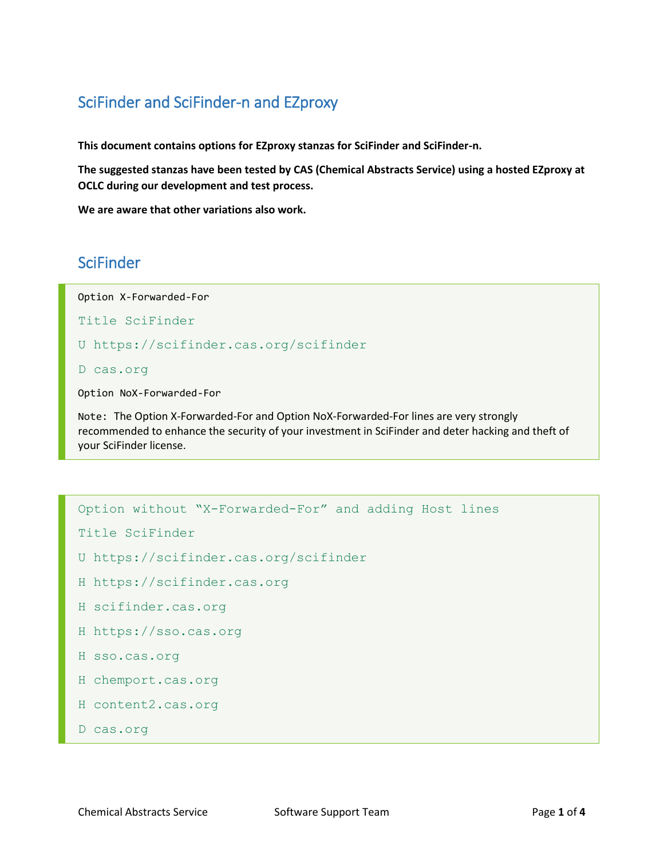## SciFinder and SciFinder-n and EZproxy

**This document contains options for EZproxy stanzas for SciFinder and SciFinder-n.**

**The suggested stanzas have been tested by CAS (Chemical Abstracts Service) using a hosted EZproxy at OCLC during our development and test process.**

**We are aware that other variations also work.**

## **SciFinder**

Option X-Forwarded-For

Title SciFinder

U https://scifinder.cas.org/scifinder

D cas.org

Option NoX-Forwarded-For

Note: The Option X-Forwarded-For and Option NoX-Forwarded-For lines are very strongly recommended to enhance the security of your investment in SciFinder and deter hacking and theft of your SciFinder license.

```
Option without "X-Forwarded-For" and adding Host lines
```

```
Title SciFinder
```

```
U https://scifinder.cas.org/scifinder
```

```
H https://scifinder.cas.org
```

```
H scifinder.cas.org
```

```
H https://sso.cas.org
```

```
H sso.cas.org
```

```
H chemport.cas.org
```

```
H content2.cas.org
```

```
D cas.org
```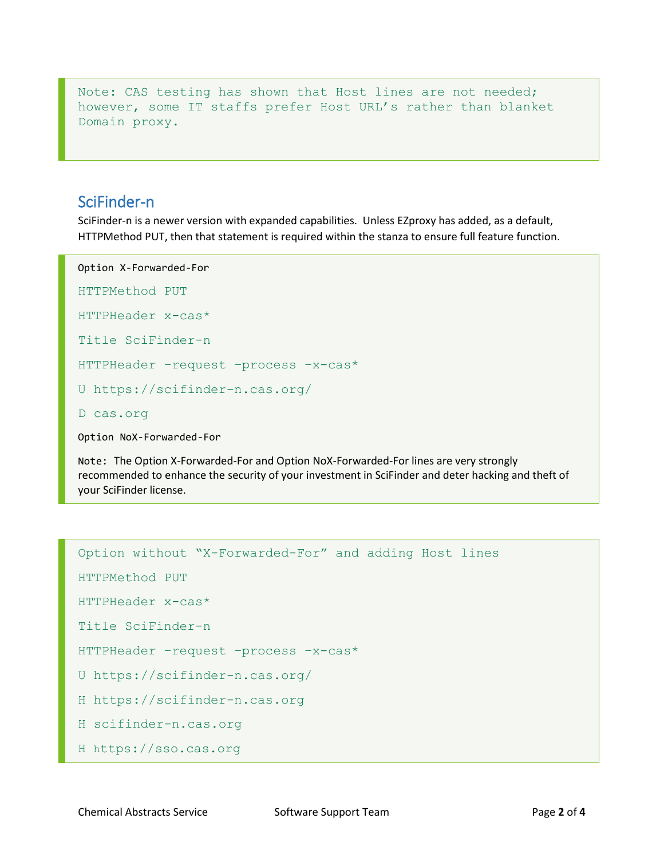Note: CAS testing has shown that Host lines are not needed; however, some IT staffs prefer Host URL's rather than blanket Domain proxy.

## SciFinder-n

SciFinder-n is a newer version with expanded capabilities. Unless EZproxy has added, as a default, HTTPMethod PUT, then that statement is required within the stanza to ensure full feature function.

```
Option X-Forwarded-For
HTTPMethod PUT
HTTPHeader x-cas*
Title SciFinder-n 
HTTPHeader –request –process –x-cas*
U https://scifinder-n.cas.org/
D cas.org
Option NoX-Forwarded-For
```
Note: The Option X-Forwarded-For and Option NoX-Forwarded-For lines are very strongly recommended to enhance the security of your investment in SciFinder and deter hacking and theft of your SciFinder license.

```
Option without "X-Forwarded-For" and adding Host lines
HTTPMethod PUT
HTTPHeader x-cas*
Title SciFinder-n
HTTPHeader –request –process –x-cas*
U https://scifinder-n.cas.org/
H https://scifinder-n.cas.org
H scifinder-n.cas.org
H https://sso.cas.org
```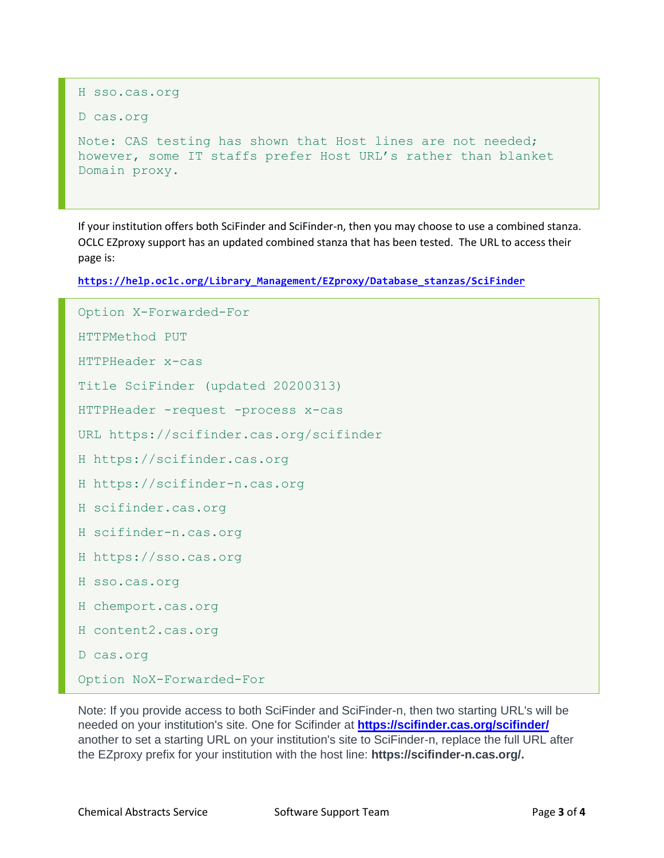```
H sso.cas.org
D cas.org
Note: CAS testing has shown that Host lines are not needed; 
however, some IT staffs prefer Host URL's rather than blanket 
Domain proxy.
```
If your institution offers both SciFinder and SciFinder-n, then you may choose to use a combined stanza. OCLC EZproxy support has an updated combined stanza that has been tested. The URL to access their page is:

**[https://help.oclc.org/Library\\_Management/EZproxy/Database\\_stanzas/SciFinder](https://help.oclc.org/Library_Management/EZproxy/Database_stanzas/SciFinder)**

```
Option X-Forwarded-For
HTTPMethod PUT
HTTPHeader x-cas
Title SciFinder (updated 20200313)
HTTPHeader -request -process x-cas
URL https://scifinder.cas.org/scifinder
H https://scifinder.cas.org
H https://scifinder-n.cas.org
H scifinder.cas.org
H scifinder-n.cas.org
H https://sso.cas.org
H sso.cas.org
H chemport.cas.org
H content2.cas.org
D cas.org
Option NoX-Forwarded-For
```
Note: If you provide access to both SciFinder and SciFinder-n, then two starting URL's will be needed on your institution's site. One for Scifinder at **<https://scifinder.cas.org/scifinder/>** another to set a starting URL on your institution's site to SciFinder-n, replace the full URL after the EZproxy prefix for your institution with the host line: **https://scifinder-n.cas.org/.**